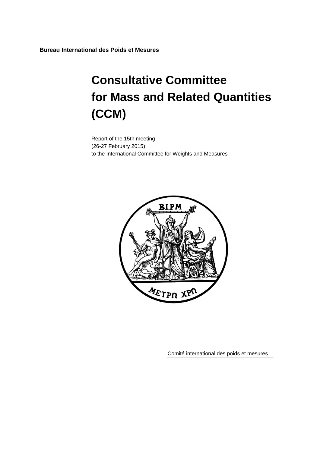**Bureau International des Poids et Mesures**

# **Consultative Committee for Mass and Related Quantities (CCM)**

Report of the 15th meeting (26-27 February 2015) to the International Committee for Weights and Measures



Comité international des poids et mesures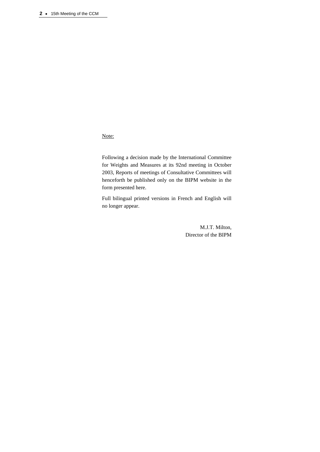# Note:

Following a decision made by the International Committee for Weights and Measures at its 92nd meeting in October 2003, Reports of meetings of Consultative Committees will henceforth be published only on the BIPM website in the form presented here.

Full bilingual printed versions in French and English will no longer appear.

> M.J.T. Milton, Director of the BIPM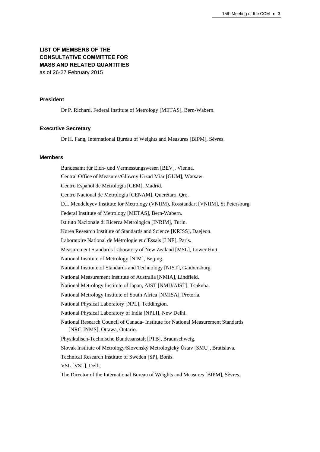# **LIST OF MEMBERS OF THE CONSULTATIVE COMMITTEE FOR MASS AND RELATED QUANTITIES** as of 26-27 February 2015

### **President**

Dr P. Richard, Federal Institute of Metrology [METAS], Bern-Wabern.

## **Executive Secretary**

Dr H. Fang, International Bureau of Weights and Measures [BIPM], Sèvres.

## **Members**

Bundesamt für Eich- und Vermessungswesen [\[BEV\]](http://www.bev.gv.at/), Vienna. Central Office of Measures/Glόwny Urzad Miar [GUM], Warsaw. Centro Español de Metrología [CEM], Madrid. Centro Nacional de Metrología [CENAM], Querétaro, Qro. D.I. Mendeleyev Institute for Metrology (VNIIM), Rosstandart [VNIIM], St Petersburg. Federal Institute of Metrology [METAS], Bern-Wabern. Istituto Nazionale di Ricerca Metrologica [INRIM], Turin. Korea Research Institute of Standards and Science [KRISS], Daejeon. Laboratoire National de Métrologie et d'Essais [LNE], Paris. Measurement Standards Laboratory of New Zealand [MSL], Lower Hutt. National Institute of Metrology [NIM], Beijing. National Institute of Standards and Technology [NIST], Gaithersburg. National Measurement Institute of Australia [NMIA], Lindfield. National Metrology Institute of Japan, AIST [NMIJ/AIST], Tsukuba. National Metrology Institute of South Africa [NMISA], Pretoria. National Physical Laboratory [NPL], Teddington. National Physical Laboratory of India [NPLI], New Delhi. National Research Council of Canada- Institute for National Measurement Standards [NRC-INMS], Ottawa, Ontario. Physikalisch-Technische Bundesanstalt [PTB], Braunschweig. Slovak Institute of Metrology/Slovenský Metrologický Ústav [SMU], Bratislava. Technical Research Institute of Sweden [SP], Borås. VSL [VSL], Delft. The Director of the International Bureau of Weights and Measures [BIPM], Sèvres.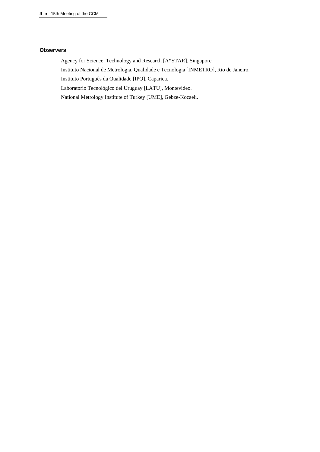# **Observers**

Agency for Science, Technology and Research [A\*STAR], Singapore. Instituto Nacional de Metrologia, Qualidade e Tecnologia [INMETRO], Rio de Janeiro. Instituto Português da Qualidade [IPQ], Caparica. Laboratorio Tecnológico del Uruguay [LATU], Montevideo. National Metrology Institute of Turkey [UME], Gebze-Kocaeli.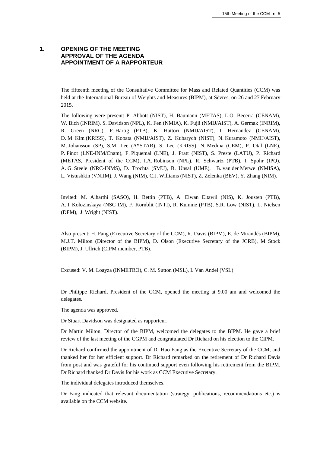# **1. OPENING OF THE MEETING APPROVAL OF THE AGENDA APPOINTMENT OF A RAPPORTEUR**

The fifteenth meeting of the Consultative Committee for Mass and Related Quantities (CCM) was held at the International Bureau of Weights and Measures (BIPM), at Sèvres, on 26 and 27 February 2015.

The following were present: P. Abbott (NIST), H. Baumann (METAS), L.O. Becerra (CENAM), W. Bich (INRIM), S. Davidson (NPL), K. Fen (NMIA), K. Fujii (NMIJ/AIST), A. Germak (INRIM), R. Green (NRC), F. Härtig (PTB), K. Hattori (NMIJ/AIST), I. Hernandez (CENAM), D. M. Kim (KRISS), T. Kobata (NMIJ/AIST), Z. Kubarych (NIST), N. Kuramoto (NMIJ/AIST), M. Johansson (SP), S.M. Lee (A\*STAR), S. Lee (KRISS), N. Medina (CEM), P. Otal (LNE), P. Pinot (LNE-INM/Cnam), F. Piquemal (LNE), J. Pratt (NIST), S. Preste (LATU), P. Richard (METAS, President of the CCM), I.A. Robinson (NPL), R. Schwartz (PTB), I. Spohr (IPQ), A. G. Steele (NRC-INMS), D. Trochta (SMU), B. Ünsal (UME), B. van der Merwe (NMISA), L. Vistushkin (VNIIM), J. Wang (NIM), C.J. Williams (NIST), Z. Zelenka (BEV), Y. Zhang (NIM).

Invited: M. Alharthi (SASO), H. Bettin (PTB), A. Elwan Eltawil (NIS), K. Jousten (PTB), A. I. Kolozinskaya (NSC IM), F. Kornblit (INTI), R. Kumme (PTB), S.R. Low (NIST), L. Nielsen (DFM), J. Wright (NIST).

Also present: H. Fang (Executive Secretary of the CCM), R. Davis (BIPM), E. de Mirandés (BIPM), M.J.T. Milton (Director of the BIPM), D. Olson (Executive Secretary of the JCRB), M. Stock (BIPM), J. Ullrich (CIPM member, PTB).

Excused: V. M. Loayza (INMETRO), C. M. Sutton (MSL), I. Van Andel (VSL)

Dr Philippe Richard, President of the CCM, opened the meeting at 9.00 am and welcomed the delegates.

The agenda was approved.

Dr Stuart Davidson was designated as rapporteur.

Dr Martin Milton, Director of the BIPM, welcomed the delegates to the BIPM. He gave a brief review of the last meeting of the CGPM and congratulated Dr Richard on his election to the CIPM.

Dr Richard confirmed the appointment of Dr Hao Fang as the Executive Secretary of the CCM, and thanked her for her efficient support. Dr Richard remarked on the retirement of Dr Richard Davis from post and was grateful for his continued support even following his retirement from the BIPM. Dr Richard thanked Dr Davis for his work as CCM Executive Secretary.

The individual delegates introduced themselves.

Dr Fang indicated that relevant documentation (strategy, publications, recommendations etc.) is available on the CCM website.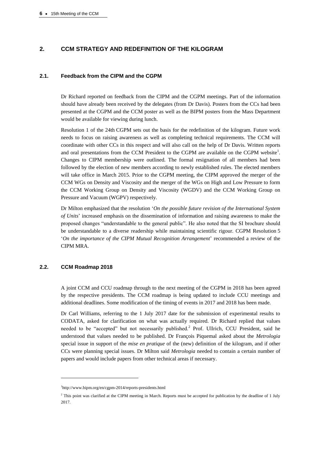# **2. CCM STRATEGY AND REDEFINITION OF THE KILOGRAM**

# **2.1. Feedback from the CIPM and the CGPM**

Dr Richard reported on feedback from the CIPM and the CGPM meetings. Part of the information should have already been received by the delegates (from Dr Davis). Posters from the CCs had been presented at the CGPM and the CCM poster as well as the BIPM posters from the Mass Department would be available for viewing during lunch.

Resolution 1 of the 24th CGPM sets out the basis for the redefinition of the kilogram. Future work needs to focus on raising awareness as well as completing technical requirements. The CCM will coordinate with other CCs in this respect and will also call on the help of Dr Davis. Written reports and oral presentations from the CCM President to the CGPM are available on the CGPM website $<sup>1</sup>$ .</sup> Changes to CIPM membership were outlined. The formal resignation of all members had been followed by the election of new members according to newly established rules. The elected members will take office in March 2015. Prior to the CGPM meeting, the CIPM approved the merger of the CCM WGs on Density and Viscosity and the merger of the WGs on High and Low Pressure to form the CCM Working Group on Density and Viscosity (WGDV) and the CCM Working Group on Pressure and Vacuum (WGPV) respectively.

Dr Milton emphasized that the resolution '*On the possible future revision of the International System of Units*' increased emphasis on the dissemination of information and raising awareness to make the proposed changes "understandable to the general public". He also noted that the SI brochure should be understandable to a diverse readership while maintaining scientific rigour. CGPM Resolution 5 '*On the importance of the CIPM Mutual Recognition Arrangement*' recommended a review of the CIPM MRA.

# **2.2. CCM Roadmap 2018**

 $\overline{a}$ 

A joint CCM and CCU roadmap through to the next meeting of the CGPM in 2018 has been agreed by the respective presidents. The CCM roadmap is being updated to include CCU meetings and additional deadlines. Some modification of the timing of events in 2017 and 2018 has been made.

Dr Carl Williams, referring to the 1 July 2017 date for the submission of experimental results to CODATA, asked for clarification on what was actually required. Dr Richard replied that values needed to be "accepted" but not necessarily published.<sup>2</sup> Prof. Ullrich, CCU President, said he understood that values needed to be published. Dr François Piquemal asked about the *Metrologia* special issue in support of the *mise en pratique* of the (new) definition of the kilogram, and if other CCs were planning special issues. Dr Milton said *Metrologia* needed to contain a certain number of papers and would include papers from other technical areas if necessary.

<sup>1</sup> http://www.bipm.org/en/cgpm-2014/reports-presidents.html

<sup>&</sup>lt;sup>2</sup> This point was clarified at the CIPM meeting in March. Reports must be accepted for publication by the deadline of 1 July 2017.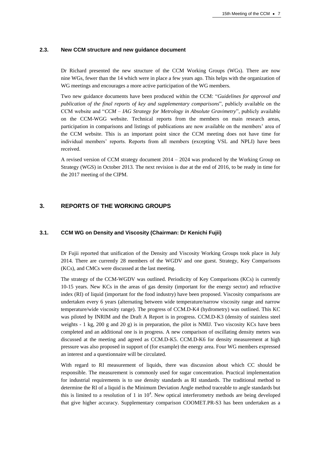## **2.3. New CCM structure and new guidance document**

Dr Richard presented the new structure of the CCM Working Groups (WGs). There are now nine WGs, fewer than the 14 which were in place a few years ago. This helps with the organization of WG meetings and encourages a more active participation of the WG members.

Two new guidance documents have been produced within the CCM: "*Guidelines for approval and publication of the final reports of key and supplementary comparisons*", publicly available on the CCM website and "*CCM – IAG Strategy for Metrology in Absolute Gravimetry*", publicly available on the CCM-WGG website. Technical reports from the members on main research areas, participation in comparisons and listings of publications are now available on the members' area of the CCM website. This is an important point since the CCM meeting does not have time for individual members' reports. Reports from all members (excepting VSL and NPLI) have been received.

A revised version of CCM strategy document 2014 – 2024 was produced by the Working Group on Strategy (WGS) in October 2013. The next revision is due at the end of 2016, to be ready in time for the 2017 meeting of the CIPM.

# **3. REPORTS OF THE WORKING GROUPS**

# **3.1. CCM WG on Density and Viscosity (Chairman: Dr Kenichi Fujii)**

Dr Fujii reported that unification of the Density and Viscosity Working Groups took place in July 2014. There are currently 28 members of the WGDV and one guest. Strategy, Key Comparisons (KCs), and CMCs were discussed at the last meeting.

The strategy of the CCM-WGDV was outlined. Periodicity of Key Comparisons (KCs) is currently 10-15 years. New KCs in the areas of gas density (important for the energy sector) and refractive index (RI) of liquid (important for the food industry) have been proposed. Viscosity comparisons are undertaken every 6 years (alternating between wide temperature/narrow viscosity range and narrow temperature/wide viscosity range). The progress of CCM.D-K4 (hydrometry) was outlined. This KC was piloted by INRIM and the Draft A Report is in progress. CCM.D-K3 (density of stainless steel weights - 1 kg, 200 g and 20 g) is in preparation, the pilot is NMIJ. Two viscosity KCs have been completed and an additional one is in progress. A new comparison of oscillating density meters was discussed at the meeting and agreed as CCM.D-K5. CCM.D-K6 for density measurement at high pressure was also proposed in support of (for example) the energy area. Four WG members expressed an interest and a questionnaire will be circulated.

With regard to RI measurement of liquids, there was discussion about which CC should be responsible. The measurement is commonly used for sugar concentration. Practical implementation for industrial requirements is to use density standards as RI standards. The traditional method to determine the RI of a liquid is the Minimum Deviation Angle method traceable to angle standards but this is limited to a resolution of 1 in  $10<sup>4</sup>$ . New optical interferometry methods are being developed that give higher accuracy. Supplementary comparison COOMET.PR-S3 has been undertaken as a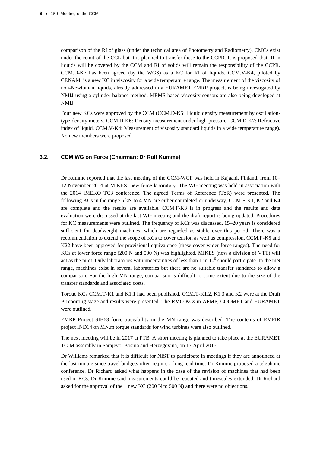comparison of the RI of glass (under the technical area of Photometry and Radiometry). CMCs exist under the remit of the CCL but it is planned to transfer these to the CCPR. It is proposed that RI in liquids will be covered by the CCM and RI of solids will remain the responsibility of the CCPR. CCM.D-K7 has been agreed (by the WGS) as a KC for RI of liquids. CCM.V-K4, piloted by CENAM, is a new KC in viscosity for a wide temperature range. The measurement of the viscosity of non-Newtonian liquids, already addressed in a EURAMET EMRP project, is being investigated by NMIJ using a cylinder balance method. MEMS based viscosity sensors are also being developed at NMIJ.

Four new KCs were approved by the CCM (CCM.D-K5: Liquid density measurement by oscillationtype density meters. CCM.D-K6: Density measurement under high-pressure, CCM.D-K7: Refractive index of liquid, CCM.V-K4: Measurement of viscosity standard liquids in a wide temperature range). No new members were proposed.

## **3.2. CCM WG on Force (Chairman: Dr Rolf Kumme)**

Dr Kumme reported that the last meeting of the CCM-WGF was held in Kajaani, Finland, from 10– 12 November 2014 at MIKES' new force laboratory. The WG meeting was held in association with the 2014 IMEKO TC3 conference. The agreed Terms of Reference (ToR) were presented. The following KCs in the range 5 kN to 4 MN are either completed or underway; CCM.F-K1, K2 and K4 are complete and the results are available. CCM.F-K3 is in progress and the results and data evaluation were discussed at the last WG meeting and the draft report is being updated. Procedures for KC measurements were outlined. The frequency of KCs was discussed, 15–20 years is considered sufficient for deadweight machines, which are regarded as stable over this period. There was a recommendation to extend the scope of KCs to cover tension as well as compression. CCM.F-K5 and K22 have been approved for provisional equivalence (these cover wider force ranges). The need for KCs at lower force range (200 N and 500 N) was highlighted. MIKES (now a division of VTT) will act as the pilot. Only laboratories with uncertainties of less than 1 in  $10^5$  should participate. In the mN range, machines exist in several laboratories but there are no suitable transfer standards to allow a comparison. For the high MN range, comparison is difficult to some extent due to the size of the transfer standards and associated costs.

Torque KCs CCM.T-K1 and K1.1 had been published. CCM.T-K1.2, K1.3 and K2 were at the Draft B reporting stage and results were presented. The RMO KCs in APMP, COOMET and EURAMET were outlined.

EMRP Project SIB63 force traceability in the MN range was described. The contents of EMPIR project IND14 on MN.m torque standards for wind turbines were also outlined.

The next meeting will be in 2017 at PTB. A short meeting is planned to take place at the EURAMET TC-M assembly in Sarajevo, Bosnia and Herzegovina, on 17 April 2015.

Dr Williams remarked that it is difficult for NIST to participate in meetings if they are announced at the last minute since travel budgets often require a long lead time. Dr Kumme proposed a telephone conference. Dr Richard asked what happens in the case of the revision of machines that had been used in KCs. Dr Kumme said measurements could be repeated and timescales extended. Dr Richard asked for the approval of the 1 new KC (200 N to 500 N) and there were no objections.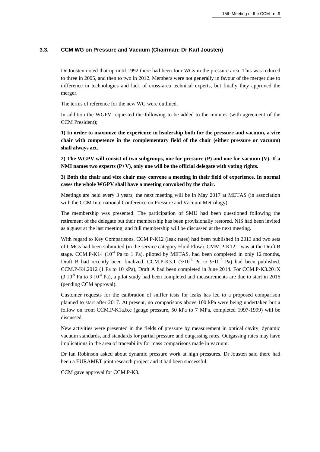## **3.3. CCM WG on Pressure and Vacuum (Chairman: Dr Karl Jousten)**

Dr Jousten noted that up until 1992 there had been four WGs in the pressure area. This was reduced to three in 2005, and then to two in 2012. Members were not generally in favour of the merger due to difference in technologies and lack of cross-area technical experts, but finally they approved the merger.

The terms of reference for the new WG were outlined.

In addition the WGPV requested the following to be added to the minutes (with agreement of the CCM President);

**1) In order to maximize the experience in leadership both for the pressure and vacuum, a vice chair with competence in the complementary field of the chair (either pressure or vacuum) shall always act.** 

**2) The WGPV will consist of two subgroups, one for pressure (P) and one for vacuum (V). If a NMI names two experts (P+V), only one will be the official delegate with voting rights.**

**3) Both the chair and vice chair may convene a meeting in their field of experience. In normal cases the whole WGPV shall have a meeting convoked by the chair.**

Meetings are held every 3 years; the next meeting will be in May 2017 at METAS (in association with the CCM International Conference on Pressure and Vacuum Metrology).

The membership was presented. The participation of SMU had been questioned following the retirement of the delegate but their membership has been provisionally restored. NIS had been invited as a guest at the last meeting, and full membership will be discussed at the next meeting.

With regard to Key Comparisons, CCM.P-K12 (leak rates) had been published in 2013 and two sets of CMCs had been submitted (in the service category Fluid Flow). CMM.P-K12.1 was at the Draft B stage. CCM.P-K14 ( $10^{-4}$  Pa to 1 Pa), piloted by METAS, had been completed in only 12 months, Draft B had recently been finalized. CCM.P-K3.1  $(3.10^{-6}$  Pa to 9⋅10<sup>-3</sup> Pa) had been published. CCM.P-K4.2012 (1 Pa to 10 kPa), Draft A had been completed in June 2014. For CCM.P-K3.201X  $(3.10<sup>-9</sup>$  Pa to 3⋅10<sup>-4</sup> Pa), a pilot study had been completed and measurements are due to start in 2016 (pending CCM approval).

Customer requests for the calibration of sniffer tests for leaks has led to a proposed comparison planned to start after 2017. At present, no comparisons above 100 kPa were being undertaken but a follow on from CCM.P-K1a,b,c (gauge pressure, 50 kPa to 7 MPa, completed 1997-1999) will be discussed.

New activities were presented in the fields of pressure by measurement in optical cavity, dynamic vacuum standards, and standards for partial pressure and outgassing rates. Outgassing rates may have implications in the area of traceability for mass comparisons made in vacuum.

Dr Ian Robinson asked about dynamic pressure work at high pressures. Dr Jousten said there had been a EURAMET joint research project and it had been successful.

CCM gave approval for CCM.P-K3.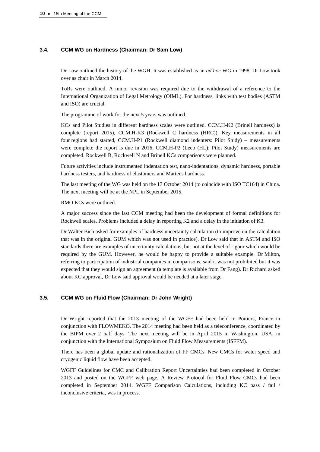## **3.4. CCM WG on Hardness (Chairman: Dr Sam Low)**

Dr Low outlined the history of the WGH. It was established as an *ad hoc* WG in 1998. Dr Low took over as chair in March 2014.

ToRs were outlined. A minor revision was required due to the withdrawal of a reference to the International Organization of Legal Metrology (OIML). For hardness, links with test bodies (ASTM and ISO) are crucial.

The programme of work for the next 5 years was outlined.

KCs and Pilot Studies in different hardness scales were outlined. CCM.H-K2 (Brinell hardness) is complete (report 2015), CCM.H-K3 (Rockwell C hardness (HRC)), Key measurements in all four regions had started, CCM.H-P1 (Rockwell diamond indenters: Pilot Study) – measurements were complete the report is due in 2016, CCM.H-P2 (Leeb (HL): Pilot Study) measurements are completed. Rockwell B, Rockwell N and Brinell KCs comparisons were planned.

Future activities include instrumented indentation test, nano-indentations, dynamic hardness, portable hardness testers, and hardness of elastomers and Martens hardness.

The last meeting of the WG was held on the 17 October 2014 (to coincide with ISO TC164) in China. The next meeting will be at the NPL in September 2015.

RMO KCs were outlined.

A major success since the last CCM meeting had been the development of formal definitions for Rockwell scales. Problems included a delay in reporting K2 and a delay in the initiation of K3.

Dr Walter Bich asked for examples of hardness uncertainty calculation (to improve on the calculation that was in the original GUM which was not used in practice). Dr Low said that in ASTM and ISO standards there are examples of uncertainty calculations, but not at the level of rigour which would be required by the GUM. However, he would be happy to provide a suitable example. Dr Milton, referring to participation of industrial companies in comparisons, said it was not prohibited but it was expected that they would sign an agreement (a template is available from Dr Fang). Dr Richard asked about KC approval, Dr Low said approval would be needed at a later stage.

## **3.5. CCM WG on Fluid Flow (Chairman: Dr John Wright)**

Dr Wright reported that the 2013 meeting of the WGFF had been held in Poitiers, France in conjunction with FLOWMEKO. The 2014 meeting had been held as a teleconference, coordinated by the BIPM over 2 half days. The next meeting will be in April 2015 in Washington, USA, in conjunction with the International Symposium on Fluid Flow Measurements (ISFFM).

There has been a global update and rationalization of FF CMCs. New CMCs for water speed and cryogenic liquid flow have been accepted.

WGFF Guidelines for CMC and Calibration Report Uncertainties had been completed in October 2013 and posted on the WGFF web page. A Review Protocol for Fluid Flow CMCs had been completed in September 2014. WGFF Comparison Calculations, including KC pass / fail / inconclusive criteria, was in process.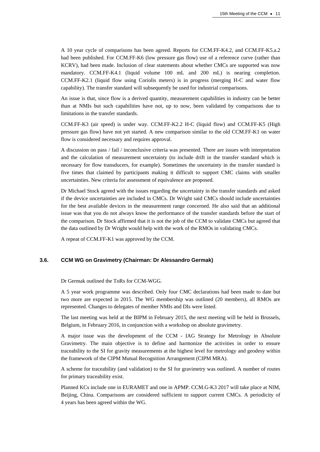A 10 year cycle of comparisons has been agreed. Reports for CCM.FF-K4.2, and CCM.FF-K5.a.2 had been published. For CCM.FF-K6 (low pressure gas flow) use of a reference curve (rather than KCRV), had been made. Inclusion of clear statements about whether CMCs are supported was now mandatory. CCM.FF-K4.1 (liquid volume 100 mL and 200 mL) is nearing completion. CCM.FF-K2.1 (liquid flow using Coriolis meters) is in progress (merging H-C and water flow capability). The transfer standard will subsequently be used for industrial comparisons.

An issue is that, since flow is a derived quantity, measurement capabilities in industry can be better than at NMIs but such capabilities have not, up to now, been validated by comparisons due to limitations in the transfer standards.

CCM.FF-K3 (air speed) is under way. CCM.FF-K2.2 H-C (liquid flow) and CCM.FF-K5 (High pressure gas flow) have not yet started. A new comparison similar to the old CCM.FF-K1 on water flow is considered necessary and requires approval.

A discussion on pass / fail / inconclusive criteria was presented. There are issues with interpretation and the calculation of measurement uncertainty (to include drift in the transfer standard which is necessary for flow transducers, for example). Sometimes the uncertainty in the transfer standard is five times that claimed by participants making it difficult to support CMC claims with smaller uncertainties. New criteria for assessment of equivalence are proposed.

Dr Michael Stock agreed with the issues regarding the uncertainty in the transfer standards and asked if the device uncertainties are included in CMCs. Dr Wright said CMCs should include uncertainties for the best available devices in the measurement range concerned. He also said that an additional issue was that you do not always know the performance of the transfer standards before the start of the comparison. Dr Stock affirmed that it is not the job of the CCM to validate CMCs but agreed that the data outlined by Dr Wright would help with the work of the RMOs in validating CMCs.

A repeat of CCM.FF-K1 was approved by the CCM.

#### **3.6. CCM WG on Gravimetry (Chairman: Dr Alessandro Germak)**

Dr Germak outlined the ToRs for CCM-WGG.

A 5 year work programme was described. Only four CMC declarations had been made to date but two more are expected in 2015. The WG membership was outlined (20 members), all RMOs are represented. Changes to delegates of member NMIs and DIs were listed.

The last meeting was held at the BIPM in February 2015, the next meeting will be held in Brussels, Belgium, in February 2016, in conjunction with a workshop on absolute gravimetry.

A major issue was the development of the CCM - IAG Strategy for Metrology in Absolute Gravimetry. The main objective is to define and harmonize the activities in order to ensure traceability to the SI for gravity measurements at the highest level for metrology and geodesy within the framework of the CIPM Mutual Recognition Arrangement (CIPM MRA).

A scheme for traceability (and validation) to the SI for gravimetry was outlined. A number of routes for primary traceability exist.

Planned KCs include one in EURAMET and one in APMP. CCM.G-K3 2017 will take place at NIM, Beijing, China. Comparisons are considered sufficient to support current CMCs. A periodicity of 4 years has been agreed within the WG.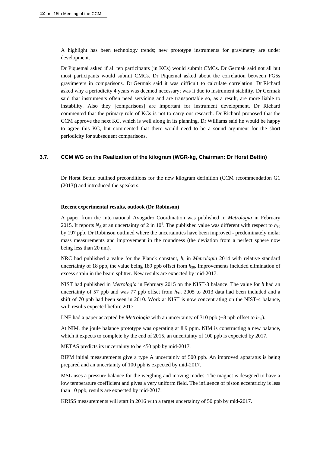A highlight has been technology trends; new prototype instruments for gravimetry are under development.

Dr Piquemal asked if all ten participants (in KCs) would submit CMCs. Dr Germak said not all but most participants would submit CMCs. Dr Piquemal asked about the correlation between FG5s gravimeters in comparisons. Dr Germak said it was difficult to calculate correlation. Dr Richard asked why a periodicity 4 years was deemed necessary; was it due to instrument stability. Dr Germak said that instruments often need servicing and are transportable so, as a result, are more liable to instability. Also they [comparisons] are important for instrument development. Dr Richard commented that the primary role of KCs is not to carry out research. Dr Richard proposed that the CCM approve the next KC, which is well along in its planning. Dr Williams said he would be happy to agree this KC, but commented that there would need to be a sound argument for the short periodicity for subsequent comparisons.

# **3.7. CCM WG on the Realization of the kilogram (WGR-kg, Chairman: Dr Horst Bettin)**

Dr Horst Bettin outlined preconditions for the new kilogram definition (CCM recommendation G1 (2013)) and introduced the speakers.

#### **Recent experimental results, outlook (Dr Robinson)**

A paper from the International Avogadro Coordination was published in *Metrologia* in February 2015. It reports  $N_A$  at an uncertainty of 2 in 10<sup>8</sup>. The published value was different with respect to  $h_{90}$ by 197 ppb. Dr Robinson outlined where the uncertainties have been improved - predominately molar mass measurements and improvement in the roundness (the deviation from a perfect sphere now being less than 20 nm).

NRC had published a value for the Planck constant, *h*, in *Metrologia* 2014 with relative standard uncertainty of 18 ppb, the value being 189 ppb offset from  $h_{90}$ . Improvements included elimination of excess strain in the beam splitter. New results are expected by mid-2017.

NIST had published in *Metrologia* in February 2015 on the NIST-3 balance. The value for *h* had an uncertainty of 57 ppb and was 77 ppb offset from  $h_{90}$ . 2005 to 2013 data had been included and a shift of 70 ppb had been seen in 2010. Work at NIST is now concentrating on the NIST-4 balance, with results expected before 2017.

LNE had a paper accepted by *Metrologia* with an uncertainty of 310 ppb (−8 ppb offset to *h*90).

At NIM, the joule balance prototype was operating at 8.9 ppm. NIM is constructing a new balance, which it expects to complete by the end of 2015, an uncertainty of 100 ppb is expected by 2017.

METAS predicts its uncertainty to be <50 ppb by mid-2017.

BIPM initial measurements give a type A uncertainly of 500 ppb. An improved apparatus is being prepared and an uncertainty of 100 ppb is expected by mid-2017.

MSL uses a pressure balance for the weighing and moving modes. The magnet is designed to have a low temperature coefficient and gives a very uniform field. The influence of piston eccentricity is less than 10 ppb, results are expected by mid-2017.

KRISS measurements will start in 2016 with a target uncertainty of 50 ppb by mid-2017.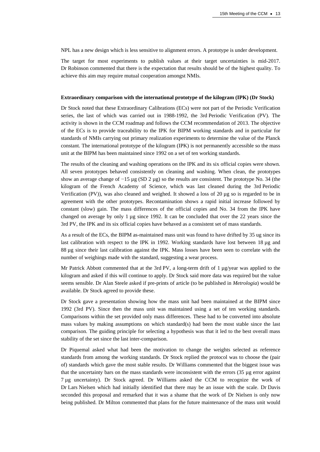NPL has a new design which is less sensitive to alignment errors. A prototype is under development.

The target for most experiments to publish values at their target uncertainties is mid-2017. Dr Robinson commented that there is the expectation that results should be of the highest quality. To achieve this aim may require mutual cooperation amongst NMIs.

#### **Extraordinary comparison with the international prototype of the kilogram (IPK) (Dr Stock)**

Dr Stock noted that these Extraordinary Calibrations (ECs) were not part of the Periodic Verification series, the last of which was carried out in 1988-1992, the 3rd Periodic Verification (PV). The activity is shown in the CCM roadmap and follows the CCM recommendation of 2013. The objective of the ECs is to provide traceability to the IPK for BIPM working standards and in particular for standards of NMIs carrying out primary realization experiments to determine the value of the Planck constant. The international prototype of the kilogram (IPK) is not permanently accessible so the mass unit at the BIPM has been maintained since 1992 on a set of ten working standards.

The results of the cleaning and washing operations on the IPK and its six official copies were shown. All seven prototypes behaved consistently on cleaning and washing. When clean, the prototypes show an average change of −15 µg (SD 2 µg) so the results are consistent. The prototype No. 34 (the kilogram of the French Academy of Science, which was last cleaned during the 3rd Periodic Verification (PV)), was also cleaned and weighed. It showed a loss of 20 µg so is regarded to be in agreement with the other prototypes. Recontamination shows a rapid initial increase followed by constant (slow) gain. The mass differences of the official copies and No. 34 from the IPK have changed on average by only 1 µg since 1992. It can be concluded that over the 22 years since the 3rd PV, the IPK and its six official copies have behaved as a consistent set of mass standards.

As a result of the ECs, the BIPM as-maintained mass unit was found to have drifted by 35 ug since its last calibration with respect to the IPK in 1992. Working standards have lost between 18 µg and 88 µg since their last calibration against the IPK. Mass losses have been seen to correlate with the number of weighings made with the standard, suggesting a wear process.

Mr Patrick Abbott commented that at the 3rd PV, a long-term drift of 1  $\mu$ g/year was applied to the kilogram and asked if this will continue to apply. Dr Stock said more data was required but the value seems sensible. Dr Alan Steele asked if pre-prints of article (to be published in *Metrologia*) would be available. Dr Stock agreed to provide these.

Dr Stock gave a presentation showing how the mass unit had been maintained at the BIPM since 1992 (3rd PV). Since then the mass unit was maintained using a set of ten working standards. Comparisons within the set provided only mass differences. These had to be converted into absolute mass values by making assumptions on which standard(s) had been the most stable since the last comparison. The guiding principle for selecting a hypothesis was that it led to the best overall mass stability of the set since the last inter-comparison.

Dr Piquemal asked what had been the motivation to change the weights selected as reference standards from among the working standards. Dr Stock replied the protocol was to choose the (pair of) standards which gave the most stable results. Dr Williams commented that the biggest issue was that the uncertainty bars on the mass standards were inconsistent with the errors (35 µg error against 7 µg uncertainty). Dr Stock agreed. Dr Williams asked the CCM to recognize the work of Dr Lars Nielsen which had initially identified that there may be an issue with the scale. Dr Davis seconded this proposal and remarked that it was a shame that the work of Dr Nielsen is only now being published. Dr Milton commented that plans for the future maintenance of the mass unit would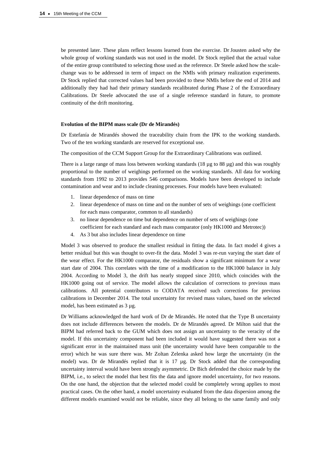be presented later. These plans reflect lessons learned from the exercise. Dr Jousten asked why the whole group of working standards was not used in the model. Dr Stock replied that the actual value of the entire group contributed to selecting those used as the reference. Dr Steele asked how the scalechange was to be addressed in term of impact on the NMIs with primary realization experiments. Dr Stock replied that corrected values had been provided to these NMIs before the end of 2014 and additionally they had had their primary standards recalibrated during Phase 2 of the Extraordinary Calibrations. Dr Steele advocated the use of a single reference standard in future, to promote continuity of the drift monitoring.

#### **Evolution of the BIPM mass scale (Dr de Mirandés)**

Dr Estefanía de Mirandés showed the traceability chain from the IPK to the working standards. Two of the ten working standards are reserved for exceptional use.

The composition of the CCM Support Group for the Extraordinary Calibrations was outlined.

There is a large range of mass loss between working standards (18  $\mu$ g to 88  $\mu$ g) and this was roughly proportional to the number of weighings performed on the working standards. All data for working standards from 1992 to 2013 provides 546 comparisons. Models have been developed to include contamination and wear and to include cleaning processes. Four models have been evaluated:

- 1. linear dependence of mass on time
- 2. linear dependence of mass on time and on the number of sets of weighings (one coefficient for each mass comparator, common to all standards)
- 3. no linear dependence on time but dependence on number of sets of weighings (one coefficient for each standard and each mass comparator (only HK1000 and Metrotec))
- 4. As 3 but also includes linear dependence on time

Model 3 was observed to produce the smallest residual in fitting the data. In fact model 4 gives a better residual but this was thought to over-fit the data. Model 3 was re-run varying the start date of the wear effect. For the HK1000 comparator, the residuals show a significant minimum for a wear start date of 2004. This correlates with the time of a modification to the HK1000 balance in July 2004. According to Model 3, the drift has nearly stopped since 2010, which coincides with the HK1000 going out of service. The model allows the calculation of corrections to previous mass calibrations. All potential contributors to CODATA received such corrections for previous calibrations in December 2014. The total uncertainty for revised mass values, based on the selected model, has been estimated as 3 µg.

Dr Williams acknowledged the hard work of Dr de Mirandés. He noted that the Type B uncertainty does not include differences between the models. Dr de Mirandés agreed. Dr Milton said that the BIPM had referred back to the GUM which does not assign an uncertainty to the veracity of the model. If this uncertainty component had been included it would have suggested there was not a significant error in the maintained mass unit (the uncertainty would have been comparable to the error) which he was sure there was. Mr Zoltan Zelenka asked how large the uncertainty (in the model) was. Dr de Mirandés replied that it is 17 µg. Dr Stock added that the corresponding uncertainty interval would have been strongly asymmetric. Dr Bich defended the choice made by the BIPM, i.e., to select the model that best fits the data and ignore model uncertainty, for two reasons. On the one hand, the objection that the selected model could be completely wrong applies to most practical cases. On the other hand, a model uncertainty evaluated from the data dispersion among the different models examined would not be reliable, since they all belong to the same family and only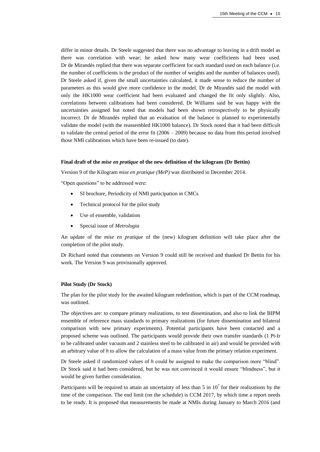differ in minor details. Dr Steele suggested that there was no advantage to leaving in a drift model as there was correlation with wear; he asked how many wear coefficients had been used. Dr de Mirandés replied that there was separate coefficient for each standard used on each balance (i.e. the number of coefficients is the product of the number of weights and the number of balances used). Dr Steele asked if, given the small uncertainties calculated, it made sense to reduce the number of parameters as this would give more confidence in the model. Dr de Mirandés said the model with only the HK1000 wear coefficient had been evaluated and changed the fit only slightly. Also, correlations between calibrations had been considered. Dr Williams said he was happy with the uncertainties assigned but noted that models had been shown retrospectively to be physically incorrect. Dr de Mirandés replied that an evaluation of the balance is planned to experimentally validate the model (with the reassembled HK1000 balance). Dr Stock noted that it had been difficult to validate the central period of the error fit (2006 – 2009) because no data from this period involved those NMI calibrations which have been re-issued (to date).

#### **Final draft of the** *mise en pratique* **of the new definition of the kilogram (Dr Bettin)**

Version 9 of the Kilogram *mise en pratique (MeP)* was distributed in December 2014.

"Open questions" to be addressed were:

- SI brochure, Periodicity of NMI participation in CMCs
- Technical protocol for the pilot study
- Use of ensemble, validation
- Special issue of *Metrologia*

An update of the *mise en pratique* of the (new) kilogram definition will take place after the completion of the pilot study.

Dr Richard noted that comments on Version 9 could still be received and thanked Dr Bettin for his work. The Version 9 was provisionally approved.

#### **Pilot Study (Dr Stock)**

The plan for the pilot study for the awaited kilogram redefinition, which is part of the CCM roadmap, was outlined.

The objectives are: to compare primary realizations, to test dissemination, and also to link the BIPM ensemble of reference mass standards to primary realizations (for future dissemination and bilateral comparison with new primary experiments). Potential participants have been contacted and a proposed scheme was outlined. The participants would provide their own transfer standards (1 Pt-Ir to be calibrated under vacuum and 2 stainless steel to be calibrated in air) and would be provided with an arbitrary value of *h* to allow the calculation of a mass value from the primary relation experiment.

Dr Steele asked if randomized values of *h* could be assigned to make the comparison more "blind". Dr Stock said it had been considered, but he was not convinced it would ensure "blindness", but it would be given further consideration.

Participants will be required to attain an uncertainty of less than 5 in  $10<sup>7</sup>$  for their realizations by the time of the comparison. The end limit (on the schedule) is CCM 2017, by which time a report needs to be ready. It is proposed that measurements be made at NMIs during January to March 2016 (and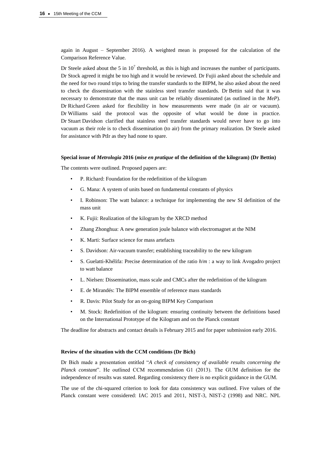again in August – September 2016). A weighted mean is proposed for the calculation of the Comparison Reference Value.

Dr Steele asked about the 5 in  $10^7$  threshold, as this is high and increases the number of participants. Dr Stock agreed it might be too high and it would be reviewed. Dr Fujii asked about the schedule and the need for two round trips to bring the transfer standards to the BIPM, he also asked about the need to check the dissemination with the stainless steel transfer standards. Dr Bettin said that it was necessary to demonstrate that the mass unit can be reliably disseminated (as outlined in the *MeP*). Dr Richard Green asked for flexibility in how measurements were made (in air or vacuum). Dr Williams said the protocol was the opposite of what would be done in practice. Dr Stuart Davidson clarified that stainless steel transfer standards would never have to go into vacuum as their role is to check dissemination (to air) from the primary realization. Dr Steele asked for assistance with PtIr as they had none to spare.

#### **Special issue of** *Metrologia* **2016 (***mise en pratique* **of the definition of the kilogram) (Dr Bettin)**

The contents were outlined. Proposed papers are:

- P. Richard: Foundation for the redefinition of the kilogram
- G. Mana: A system of units based on fundamental constants of physics
- I. Robinson: The watt balance: a technique for implementing the new SI definition of the mass unit
- K. Fujii: Realization of the kilogram by the XRCD method
- Zhang Zhonghua: A new generation joule balance with electromagnet at the NIM
- K. Marti: Surface science for mass artefacts
- S. Davidson: Air-vacuum transfer; establishing traceability to the new kilogram
- S. Guelatti-Khélifa: Precise determination of the ratio *h*/*m* : a way to link Avogadro project to watt balance
- L. Nielsen: Dissemination, mass scale and CMCs after the redefinition of the kilogram
- E. de Mirandés: The BIPM ensemble of reference mass standards
- R. Davis: Pilot Study for an on-going BIPM Key Comparison
- M. Stock: Redefinition of the kilogram: ensuring continuity between the definitions based on the International Prototype of the Kilogram and on the Planck constant

The deadline for abstracts and contact details is February 2015 and for paper submission early 2016.

#### **Review of the situation with the CCM conditions (Dr Bich)**

Dr Bich made a presentation entitled "*A check of consistency of available results concerning the Planck constant*". He outlined CCM recommendation G1 (2013). The GUM definition for the independence of results was stated. Regarding consistency there is no explicit guidance in the GUM.

The use of the chi-squared criterion to look for data consistency was outlined. Five values of the Planck constant were considered: IAC 2015 and 2011, NIST-3, NIST-2 (1998) and NRC. NPL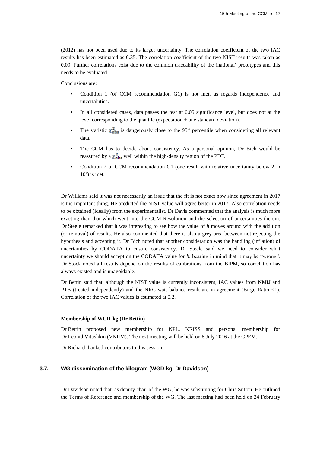(2012) has not been used due to its larger uncertainty. The correlation coefficient of the two IAC results has been estimated as 0.35. The correlation coefficient of the two NIST results was taken as 0.09. Further correlations exist due to the common traceability of the (national) prototypes and this needs to be evaluated.

Conclusions are:

- Condition 1 (of CCM recommendation G1) is not met, as regards independence and uncertainties.
- In all considered cases, data passes the test at 0.05 significance level, but does not at the level corresponding to the quantile (expectation + one standard deviation).
- The statistic  $\chi^2_{\rm obs}$  is dangerously close to the 95<sup>th</sup> percentile when considering all relevant data.
- The CCM has to decide about consistency. As a personal opinion, Dr Bich would be reassured by a  $\chi^2_{\rm obs}$  well within the high-density region of the PDF.
- Condition 2 of CCM recommendation G1 (one result with relative uncertainty below 2 in  $10<sup>8</sup>$ ) is met.

Dr Williams said it was not necessarily an issue that the fit is not exact now since agreement in 2017 is the important thing. He predicted the NIST value will agree better in 2017. Also correlation needs to be obtained (ideally) from the experimentalist. Dr Davis commented that the analysis is much more exacting than that which went into the CCM Resolution and the selection of uncertainties therein. Dr Steele remarked that it was interesting to see how the value of *h* moves around with the addition (or removal) of results. He also commented that there is also a grey area between not rejecting the hypothesis and accepting it. Dr Bich noted that another consideration was the handling (inflation) of uncertainties by CODATA to ensure consistency. Dr Steele said we need to consider what uncertainty we should accept on the CODATA value for *h*, bearing in mind that it may be "wrong". Dr Stock noted all results depend on the results of calibrations from the BIPM, so correlation has always existed and is unavoidable.

Dr Bettin said that, although the NIST value is currently inconsistent, IAC values from NMIJ and PTB (treated independently) and the NRC watt balance result are in agreement (Birge Ratio <1). Correlation of the two IAC values is estimated at 0.2.

### **Membership of WGR-kg (Dr Bettin**)

Dr Bettin proposed new membership for NPL, KRISS and personal membership for Dr Leonid Vitushkin (VNIIM). The next meeting will be held on 8 July 2016 at the CPEM.

Dr Richard thanked contributors to this session.

## **3.7. WG dissemination of the kilogram (WGD-kg, Dr Davidson)**

Dr Davidson noted that, as deputy chair of the WG, he was substituting for Chris Sutton. He outlined the Terms of Reference and membership of the WG. The last meeting had been held on 24 February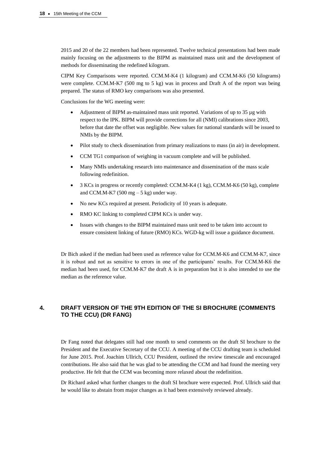2015 and 20 of the 22 members had been represented. Twelve technical presentations had been made mainly focusing on the adjustments to the BIPM as maintained mass unit and the development of methods for disseminating the redefined kilogram.

CIPM Key Comparisons were reported. CCM.M-K4 (1 kilogram) and CCM.M-K6 (50 kilograms) were complete. CCM.M-K7 (500 mg to 5 kg) was in process and Draft A of the report was being prepared. The status of RMO key comparisons was also presented.

Conclusions for the WG meeting were:

- Adjustment of BIPM as-maintained mass unit reported. Variations of up to 35 µg with respect to the IPK. BIPM will provide corrections for all (NMI) calibrations since 2003, before that date the offset was negligible. New values for national standards will be issued to NMIs by the BIPM.
- Pilot study to check dissemination from primary realizations to mass (in air) in development.
- CCM TG1 comparison of weighing in vacuum complete and will be published.
- Many NMIs undertaking research into maintenance and dissemination of the mass scale following redefinition.
- 3 KCs in progress or recently completed: CCM.M-K4 (1 kg), CCM.M-K6 (50 kg), complete and CCM.M-K7 (500 mg  $-5$  kg) under way.
- No new KCs required at present. Periodicity of 10 years is adequate.
- RMO KC linking to completed CIPM KCs is under way.
- Issues with changes to the BIPM maintained mass unit need to be taken into account to ensure consistent linking of future (RMO) KCs. WGD-kg will issue a guidance document.

Dr Bich asked if the median had been used as reference value for CCM.M-K6 and CCM.M-K7, since it is robust and not as sensitive to errors in one of the participants' results. For CCM.M-K6 the median had been used, for CCM.M-K7 the draft A is in preparation but it is also intended to use the median as the reference value.

# **4. DRAFT VERSION OF THE 9TH EDITION OF THE SI BROCHURE (COMMENTS TO THE CCU) (DR FANG)**

Dr Fang noted that delegates still had one month to send comments on the draft SI brochure to the President and the Executive Secretary of the CCU. A meeting of the CCU drafting team is scheduled for June 2015. Prof. Joachim Ullrich, CCU President, outlined the review timescale and encouraged contributions. He also said that he was glad to be attending the CCM and had found the meeting very productive. He felt that the CCM was becoming more relaxed about the redefinition.

Dr Richard asked what further changes to the draft SI brochure were expected. Prof. Ullrich said that he would like to abstain from major changes as it had been extensively reviewed already.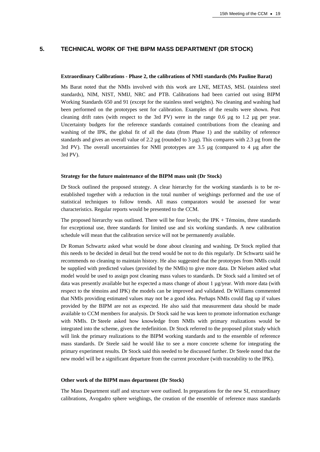# **5. TECHNICAL WORK OF THE BIPM MASS DEPARTMENT (DR STOCK)**

#### **Extraordinary Calibrations - Phase 2, the calibrations of NMI standards (Ms Pauline Barat)**

Ms Barat noted that the NMIs involved with this work are LNE, METAS, MSL (stainless steel standards), NIM, NIST, NMIJ, NRC and PTB. Calibrations had been carried out using BIPM Working Standards 650 and 91 (except for the stainless steel weights). No cleaning and washing had been performed on the prototypes sent for calibration. Examples of the results were shown. Post cleaning drift rates (with respect to the 3rd PV) were in the range  $0.6 \mu g$  to 1.2  $\mu g$  per year. Uncertainty budgets for the reference standards contained contributions from the cleaning and washing of the IPK, the global fit of all the data (from Phase 1) and the stability of reference standards and gives an overall value of 2.2  $\mu$ g (rounded to 3  $\mu$ g). This compares with 2.3  $\mu$ g from the 3rd PV). The overall uncertainties for NMI prototypes are 3.5 µg (compared to 4 µg after the 3rd PV).

#### **Strategy for the future maintenance of the BIPM mass unit (Dr Stock)**

Dr Stock outlined the proposed strategy. A clear hierarchy for the working standards is to be reestablished together with a reduction in the total number of weighings performed and the use of statistical techniques to follow trends. All mass comparators would be assessed for wear characteristics. Regular reports would be presented to the CCM.

The proposed hierarchy was outlined. There will be four levels; the IPK  $+$  Témoins, three standards for exceptional use, three standards for limited use and six working standards. A new calibration schedule will mean that the calibration service will not be permanently available.

Dr Roman Schwartz asked what would be done about cleaning and washing. Dr Stock replied that this needs to be decided in detail but the trend would be not to do this regularly. Dr Schwartz said he recommends no cleaning to maintain history. He also suggested that the prototypes from NMIs could be supplied with predicted values (provided by the NMIs) to give more data. Dr Nielsen asked what model would be used to assign post cleaning mass values to standards. Dr Stock said a limited set of data was presently available but he expected a mass change of about 1 µg/year. With more data (with respect to the témoins and IPK) the models can be improved and validated. Dr Williams commented that NMIs providing estimated values may not be a good idea. Perhaps NMIs could flag up if values provided by the BIPM are not as expected. He also said that measurement data should be made available to CCM members for analysis. Dr Stock said he was keen to promote information exchange with NMIs. Dr Steele asked how knowledge from NMIs with primary realizations would be integrated into the scheme, given the redefinition. Dr Stock referred to the proposed pilot study which will link the primary realizations to the BIPM working standards and to the ensemble of reference mass standards. Dr Steele said he would like to see a more concrete scheme for integrating the primary experiment results. Dr Stock said this needed to be discussed further. Dr Steele noted that the new model will be a significant departure from the current procedure (with traceability to the IPK).

## **Other work of the BIPM mass department (Dr Stock)**

The Mass Department staff and structure were outlined. In preparations for the new SI, extraordinary calibrations, Avogadro sphere weighings, the creation of the ensemble of reference mass standards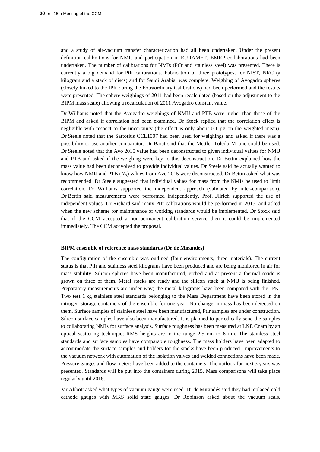and a study of air-vacuum transfer characterization had all been undertaken. Under the present definition calibrations for NMIs and participation in EURAMET, EMRP collaborations had been undertaken. The number of calibrations for NMIs (PtIr and stainless steel) was presented. There is currently a big demand for PtIr calibrations. Fabrication of three prototypes, for NIST, NRC (a kilogram and a stack of discs) and for Saudi Arabia, was complete. Weighing of Avogadro spheres (closely linked to the IPK during the Extraordinary Calibrations) had been performed and the results were presented. The sphere weighings of 2011 had been recalculated (based on the adjustment to the BIPM mass scale) allowing a recalculation of 2011 Avogadro constant value.

Dr Williams noted that the Avogadro weighings of NMIJ and PTB were higher than those of the BIPM and asked if correlation had been examined. Dr Stock replied that the correlation effect is negligible with respect to the uncertainty (the effect is only about 0.1 µg on the weighted mean). Dr Steele noted that the Sartorius CCL1007 had been used for weighings and asked if there was a possibility to use another comparator. Dr Barat said that the Mettler-Toledo M\_one could be used. Dr Steele noted that the Avo 2015 value had been deconstructed to given individual values for NMIJ and PTB and asked if the weighing were key to this deconstruction. Dr Bettin explained how the mass value had been deconvolved to provide individual values. Dr Steele said he actually wanted to know how NMIJ and PTB  $(N_A)$  values from Avo 2015 were deconstructed. Dr Bettin asked what was recommended. Dr Steele suggested that individual values for mass from the NMIs be used to limit correlation. Dr Williams supported the independent approach (validated by inter-comparison). Dr Bettin said measurements were performed independently. Prof. Ullrich supported the use of independent values. Dr Richard said many PtIr calibrations would be performed in 2015, and asked when the new scheme for maintenance of working standards would be implemented. Dr Stock said that if the CCM accepted a non-permanent calibration service then it could be implemented immediately. The CCM accepted the proposal.

#### **BIPM ensemble of reference mass standards (Dr de Mirandés)**

The configuration of the ensemble was outlined (four environments, three materials). The current status is that PtIr and stainless steel kilograms have been produced and are being monitored in air for mass stability. Silicon spheres have been manufactured, etched and at present a thermal oxide is grown on three of them. Metal stacks are ready and the silicon stack at NMIJ is being finished. Preparatory measurements are under way; the metal kilograms have been compared with the IPK. Two test 1 kg stainless steel standards belonging to the Mass Department have been stored in the nitrogen storage containers of the ensemble for one year. No change in mass has been detected on them. Surface samples of stainless steel have been manufactured, PtIr samples are under construction. Silicon surface samples have also been manufactured. It is planned to periodically send the samples to collaborating NMIs for surface analysis. Surface roughness has been measured at LNE Cnam by an optical scattering technique; RMS heights are in the range 2.5 nm to 6 nm. The stainless steel standards and surface samples have comparable roughness. The mass holders have been adapted to accommodate the surface samples and holders for the stacks have been produced. Improvements to the vacuum network with automation of the isolation valves and welded connections have been made. Pressure gauges and flow meters have been added to the containers. The outlook for next 3 years was presented. Standards will be put into the containers during 2015. Mass comparisons will take place regularly until 2018.

Mr Abbott asked what types of vacuum gauge were used. Dr de Mirandés said they had replaced cold cathode gauges with MKS solid state gauges. Dr Robinson asked about the vacuum seals.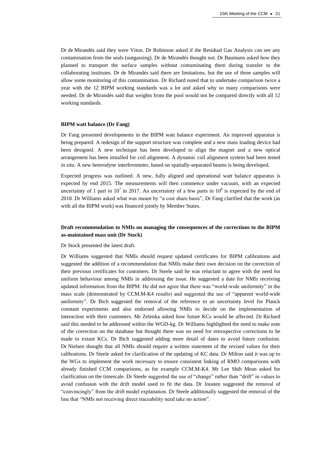Dr de Mirandés said they were Viton. Dr Robinson asked if the Residual Gas Analysis can see any contamination from the seals (outgassing). Dr de Mirandés thought not. Dr Baumann asked how they planned to transport the surface samples without contaminating them during transfer to the collaborating institutes. Dr de Mirandés said there are limitations, but the use of three samples will allow some monitoring of this contamination. Dr Richard noted that to undertake comparison twice a year with the 12 BIPM working standards was a lot and asked why so many comparisons were needed. Dr de Mirandés said that weights from the pool would not be compared directly with all 12 working standards.

#### **BIPM watt balance (Dr Fang)**

Dr Fang presented developments in the BIPM watt balance experiment. An improved apparatus is being prepared. A redesign of the support structure was complete and a new mass loading device had been designed. A new technique has been developed to align the magnet and a new optical arrangement has been installed for coil alignment. A dynamic coil alignment system had been tested *in situ*. A new heterodyne interferometer, based on spatially-separated beams is being developed.

Expected progress was outlined. A new, fully aligned and operational watt balance apparatus is expected by end 2015. The measurements will then commence under vacuum, with an expected uncertainty of 1 part in 10<sup>7</sup> in 2017. An uncertainty of a few parts in  $10^8$  is expected by the end of 2018. Dr Williams asked what was meant by "a cost share basis", Dr Fang clarified that the work (as with all the BIPM work) was financed jointly by Member States.

# **Draft recommendation to NMIs on managing the consequences of the corrections to the BIPM as-maintained mass unit (Dr Stock)**

Dr Stock presented the latest draft.

Dr Williams suggested that NMIs should request updated certificates for BIPM calibrations and suggested the addition of a recommendation that NMIs make their own decision on the correction of their previous certificates for customers. Dr Steele said he was reluctant to agree with the need for uniform behaviour among NMIs in addressing the issue. He suggested a date for NMIs receiving updated information from the BIPM. He did not agree that there was "world-wide uniformity" in the mass scale (demonstrated by CCM.M-K4 results) and suggested the use of "apparent world-wide uniformity". Dr Bich suggested the removal of the reference to an uncertainty level for Planck constant experiments and also endorsed allowing NMIs to decide on the implementation of interaction with their customers. Mr Zelenka asked how future KCs would be affected. Dr Richard said this needed to be addressed within the WGD-kg. Dr Williams highlighted the need to make note of the correction on the database but thought there was no need for retrospective corrections to be made to extant KCs. Dr Bich suggested adding more detail of dates to avoid future confusion. Dr Nielsen thought that all NMIs should require a written statement of the revised values for their calibrations. Dr Steele asked for clarification of the updating of KC data. Dr Milton said it was up to the WGs to implement the work necessary to ensure consistent linking of RMO comparisons with already finished CCM comparisons, as for example CCM.M-K4. Mr Lee Shih Mean asked for clarification on the timescale. Dr Steele suggested the use of "change" rather than "drift" in values to avoid confusion with the drift model used to fit the data. Dr Jousten suggested the removal of "convincingly" from the drift model explanation. Dr Steele additionally suggested the removal of the line that "NMIs not receiving direct traceability need take no action".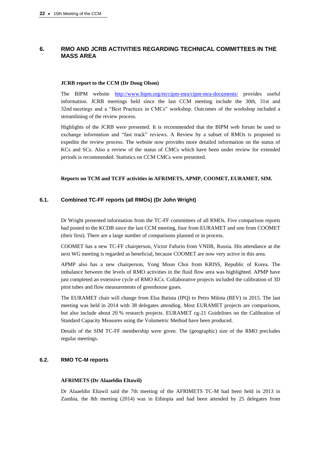# **6. RMO AND JCRB ACTIVITIES REGARDING TECHNICAL COMMITTEES IN THE MASS AREA**

#### **JCRB report to the CCM (Dr Doug Olson)**

The BIPM website [http://www.bipm.org/en/cipm-mra/cipm-mra-documents/](https://www.bipm.org/en/cipm-mra/cipm-mra-documents/) provides useful information. JCRB meetings held since the last CCM meeting include the 30th, 31st and 32nd meetings and a "Best Practices in CMCs" workshop. Outcomes of the workshop included a streamlining of the review process.

Highlights of the JCRB were presented. It is recommended that the BIPM web forum be used to exchange information and "fast track" reviews. A Review by a subset of RMOs is proposed to expedite the review process. The website now provides more detailed information on the status of KCs and SCs. Also a review of the status of CMCs which have been under review for extended periods is recommended. Statistics on CCM CMCs were presented.

## **Reports on TCM and TCFF activities in AFRIMETS, APMP, COOMET, EURAMET, SIM.**

## **6.1. Combined TC-FF reports (all RMOs) (Dr John Wright)**

Dr Wright presented information from the TC-FF committees of all RMOs. Five comparison reports had posted to the KCDB since the last CCM meeting, four from EURAMET and one from COOMET (their first). There are a large number of comparisons planned or in process.

COOMET has a new TC-FF chairperson, Victor Fafurin from VNIIR, Russia. His attendance at the next WG meeting is regarded as beneficial, because COOMET are now very active in this area.

APMP also has a new chairperson, Yong Moon Choi from KRISS, Republic of Korea. The imbalance between the levels of RMO activities in the fluid flow area was highlighted. APMP have just completed an extensive cycle of RMO KCs. Collaborative projects included the calibration of 3D pitot tubes and flow measurements of greenhouse gases.

The EURAMET chair will change from Elsa Batista (IPQ) to Petro Milota (BEV) in 2015. The last meeting was held in 2014 with 38 delegates attending. Most EURAMET projects are comparisons, but also include about 20 % research projects. EURAMET cg-21 Guidelines on the Calibration of Standard Capacity Measures using the Volumetric Method have been produced.

Details of the SIM TC-FF membership were given. The (geographic) size of the RMO precludes regular meetings.

## **6.2. RMO TC-M reports**

## **AFRIMETS (Dr Alaaeldin Eltawil)**

Dr Alaaeldin Eltawil said the 7th meeting of the AFRIMETS TC-M had been held in 2013 in Zambia, the 8th meeting (2014) was in Ethiopia and had been attended by 25 delegates from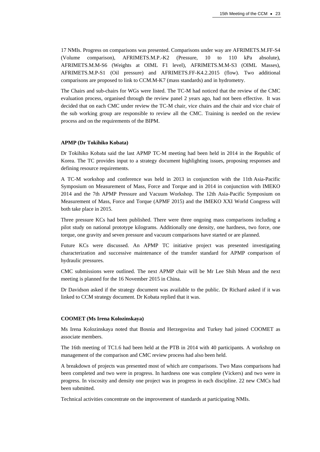17 NMIs. Progress on comparisons was presented. Comparisons under way are AFRIMETS.M.FF-S4 (Volume comparison), AFRIMETS.M.P.-K2 (Pressure, 10 to 110 kPa absolute), AFRIMETS.M.M-S6 (Weights at OIML F1 level), AFRIMETS.M.M-S3 (OIML Masses), AFRIMETS.M.P-S1 (Oil pressure) and AFRIMETS.FF-K4.2.2015 (flow). Two additional comparisons are proposed to link to CCM.M-K7 (mass standards) and in hydrometry.

The Chairs and sub-chairs for WGs were listed. The TC-M had noticed that the review of the CMC evaluation process, organised through the review panel 2 years ago, had not been effective. It was decided that on each CMC under review the TC-M chair, vice chairs and the chair and vice chair of the sub working group are responsible to review all the CMC. Training is needed on the review process and on the requirements of the BIPM.

#### **APMP (Dr Tokihiko Kobata)**

Dr Tokihiko Kobata said the last APMP TC-M meeting had been held in 2014 in the Republic of Korea. The TC provides input to a strategy document highlighting issues, proposing responses and defining resource requirements.

A TC-M workshop and conference was held in 2013 in conjunction with the 11th Asia-Pacific Symposium on Measurement of Mass, Force and Torque and in 2014 in conjunction with IMEKO 2014 and the 7th APMP Pressure and Vacuum Workshop. The 12th Asia-Pacific Symposium on Measurement of Mass, Force and Torque (APMF 2015) and the IMEKO XXI World Congress will both take place in 2015.

Three pressure KCs had been published. There were three ongoing mass comparisons including a pilot study on national prototype kilograms. Additionally one density, one hardness, two force, one torque, one gravity and seven pressure and vacuum comparisons have started or are planned.

Future KCs were discussed. An APMP TC initiative project was presented investigating characterization and successive maintenance of the transfer standard for APMP comparison of hydraulic pressures.

CMC submissions were outlined. The next APMP chair will be Mr Lee Shih Mean and the next meeting is planned for the 16 November 2015 in China.

Dr Davidson asked if the strategy document was available to the public. Dr Richard asked if it was linked to CCM strategy document. Dr Kobata replied that it was.

#### **COOMET (Ms Irena Kolozinskaya)**

Ms Irena Kolozinskaya noted that Bosnia and Herzegovina and Turkey had joined COOMET as associate members.

The 16th meeting of TC1.6 had been held at the PTB in 2014 with 40 participants. A workshop on management of the comparison and CMC review process had also been held.

A breakdown of projects was presented most of which are comparisons. Two Mass comparisons had been completed and two were in progress. In hardness one was complete (Vickers) and two were in progress. In viscosity and density one project was in progress in each discipline. 22 new CMCs had been submitted.

Technical activities concentrate on the improvement of standards at participating NMIs.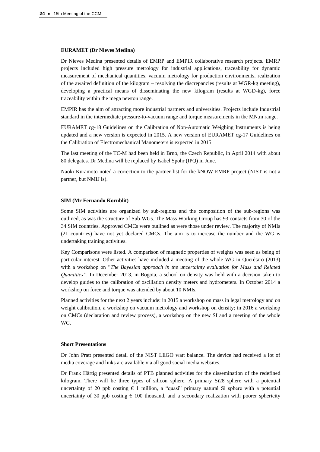## **EURAMET (Dr Nieves Medina)**

Dr Nieves Medina presented details of EMRP and EMPIR collaborative research projects. EMRP projects included high pressure metrology for industrial applications, traceability for dynamic measurement of mechanical quantities, vacuum metrology for production environments, realization of the awaited definition of the kilogram – resolving the discrepancies (results at WGR-kg meeting), developing a practical means of disseminating the new kilogram (results at WGD-kg), force traceability within the mega newton range.

EMPIR has the aim of attracting more industrial partners and universities. Projects include Industrial standard in the intermediate pressure-to-vacuum range and torque measurements in the MN.m range.

EURAMET cg-18 Guidelines on the Calibration of Non-Automatic Weighing Instruments is being updated and a new version is expected in 2015. A new version of EURAMET cg-17 Guidelines on the Calibration of Electromechanical Manometers is expected in 2015.

The last meeting of the TC-M had been held in Brno, the Czech Republic, in April 2014 with about 80 delegates. Dr Medina will be replaced by Isabel Spohr (IPQ) in June.

Naoki Kuramoto noted a correction to the partner list for the kNOW EMRP project (NIST is not a partner, but NMIJ is).

#### **SIM (Mr Fernando Kornblit)**

Some SIM activities are organized by sub-regions and the composition of the sub-regions was outlined, as was the structure of Sub-WGs. The Mass Working Group has 93 contacts from 30 of the 34 SIM countries. Approved CMCs were outlined as were those under review. The majority of NMIs (21 countries) have not yet declared CMCs. The aim is to increase the number and the WG is undertaking training activities.

Key Comparisons were listed. A comparison of magnetic properties of weights was seen as being of particular interest. Other activities have included a meeting of the whole WG in Querétaro (2013) with a workshop on "*The Bayesian approach in the uncertainty evaluation for Mass and Related Quantities"*. In December 2013, in Bogota, a school on density was held with a decision taken to develop guides to the calibration of oscillation density meters and hydrometers. In October 2014 a workshop on force and torque was attended by about 10 NMIs.

Planned activities for the next 2 years include: in 2015 a workshop on mass in legal metrology and on weight calibration, a workshop on vacuum metrology and workshop on density; in 2016 a workshop on CMCs (declaration and review process), a workshop on the new SI and a meeting of the whole WG.

#### **Short Presentations**

Dr John Pratt presented detail of the NIST LEGO watt balance. The device had received a lot of media coverage and links are available via all good social media websites.

Dr Frank Härtig presented details of PTB planned activities for the dissemination of the redefined kilogram. There will be three types of silicon sphere. A primary Si28 sphere with a potential uncertainty of 20 ppb costing  $\epsilon$  1 million, a "quasi" primary natural Si sphere with a potential uncertainty of 30 ppb costing  $\epsilon$  100 thousand, and a secondary realization with poorer sphericity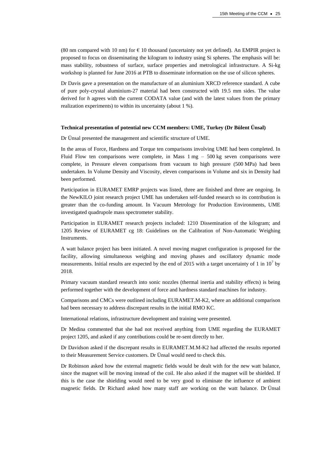(80 nm compared with 10 nm) for  $\epsilon$  10 thousand (uncertainty not yet defined). An EMPIR project is proposed to focus on disseminating the kilogram to industry using Si spheres. The emphasis will be: mass stability, robustness of surface, surface properties and metrological infrastructure. A Si-kg workshop is planned for June 2016 at PTB to disseminate information on the use of silicon spheres.

Dr Davis gave a presentation on the manufacture of an aluminium XRCD reference standard. A cube of pure poly-crystal aluminium-27 material had been constructed with 19.5 mm sides. The value derived for *h* agrees with the current CODATA value (and with the latest values from the primary realization experiments) to within its uncertainty (about 1 %).

# **Technical presentation of potential new CCM members: UME, Turkey (Dr Bülent Ünsal)**

Dr Ünsal presented the management and scientific structure of UME.

In the areas of Force, Hardness and Torque ten comparisons involving UME had been completed. In Fluid Flow ten comparisons were complete, in Mass  $1 \text{ mg} - 500 \text{ kg}$  seven comparisons were complete, in Pressure eleven comparisons from vacuum to high pressure (500 MPa) had been undertaken. In Volume Density and Viscosity, eleven comparisons in Volume and six in Density had been performed.

Participation in EURAMET EMRP projects was listed, three are finished and three are ongoing. In the NewKILO joint research project UME has undertaken self-funded research so its contribution is greater than the co-funding amount. In Vacuum Metrology for Production Environments, UME investigated quadrupole mass spectrometer stability.

Participation in EURAMET research projects included: 1210 Dissemination of the kilogram; and 1205 Review of EURAMET cg 18: Guidelines on the Calibration of Non-Automatic Weighing Instruments.

A watt balance project has been initiated. A novel moving magnet configuration is proposed for the facility, allowing simultaneous weighing and moving phases and oscillatory dynamic mode measurements. Initial results are expected by the end of 2015 with a target uncertainty of 1 in  $10^7$  by 2018.

Primary vacuum standard research into sonic nozzles (thermal inertia and stability effects) is being performed together with the development of force and hardness standard machines for industry.

Comparisons and CMCs were outlined including EURAMET.M-K2, where an additional comparison had been necessary to address discrepant results in the initial RMO KC.

International relations, infrastructure development and training were presented.

Dr Medina commented that she had not received anything from UME regarding the EURAMET project 1205, and asked if any contributions could be re-sent directly to her.

Dr Davidson asked if the discrepant results in EURAMET.M.M-K2 had affected the results reported to their Measurement Service customers. Dr Ünsal would need to check this.

Dr Robinson asked how the external magnetic fields would be dealt with for the new watt balance, since the magnet will be moving instead of the coil. He also asked if the magnet will be shielded. If this is the case the shielding would need to be very good to eliminate the influence of ambient magnetic fields. Dr Richard asked how many staff are working on the watt balance. Dr Ünsal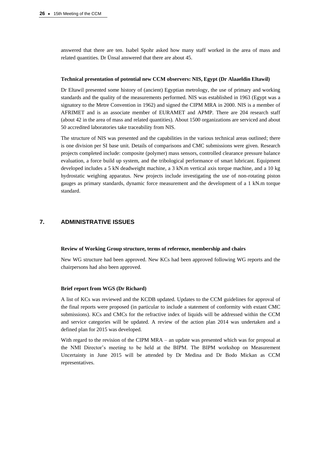answered that there are ten. Isabel Spohr asked how many staff worked in the area of mass and related quantities. Dr Ünsal answered that there are about 45.

## **Technical presentation of potential new CCM observers: NIS, Egypt (Dr Alaaeldin Eltawil)**

Dr Eltawil presented some history of (ancient) Egyptian metrology, the use of primary and working standards and the quality of the measurements performed. NIS was established in 1963 (Egypt was a signatory to the Metre Convention in 1962) and signed the CIPM MRA in 2000. NIS is a member of AFRIMET and is an associate member of EURAMET and APMP. There are 204 research staff (about 42 in the area of mass and related quantities). About 1500 organizations are serviced and about 50 accredited laboratories take traceability from NIS.

The structure of NIS was presented and the capabilities in the various technical areas outlined; there is one division per SI base unit. Details of comparisons and CMC submissions were given. Research projects completed include: composite (polymer) mass sensors, controlled clearance pressure balance evaluation, a force build up system, and the tribological performance of smart lubricant. Equipment developed includes a 5 kN deadweight machine, a 3 kN.m vertical axis torque machine, and a 10 kg hydrostatic weighing apparatus. New projects include investigating the use of non-rotating piston gauges as primary standards, dynamic force measurement and the development of a 1 kN.m torque standard.

# **7. ADMINISTRATIVE ISSUES**

#### **Review of Working Group structure, terms of reference, membership and chairs**

New WG structure had been approved. New KCs had been approved following WG reports and the chairpersons had also been approved.

#### **Brief report from WGS (Dr Richard)**

A list of KCs was reviewed and the KCDB updated. Updates to the CCM guidelines for approval of the final reports were proposed (in particular to include a statement of conformity with extant CMC submissions). KCs and CMCs for the refractive index of liquids will be addressed within the CCM and service categories will be updated. A review of the action plan 2014 was undertaken and a defined plan for 2015 was developed.

With regard to the revision of the CIPM MRA – an update was presented which was for proposal at the NMI Director's meeting to be held at the BIPM. The BIPM workshop on Measurement Uncertainty in June 2015 will be attended by Dr Medina and Dr Bodo Mickan as CCM representatives.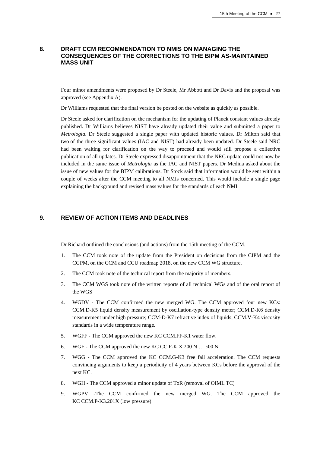# **8. DRAFT CCM RECOMMENDATION TO NMIS ON MANAGING THE CONSEQUENCES OF THE CORRECTIONS TO THE BIPM AS-MAINTAINED MASS UNIT**

Four minor amendments were proposed by Dr Steele, Mr Abbott and Dr Davis and the proposal was approved (see Appendix A).

Dr Williams requested that the final version be posted on the website as quickly as possible.

Dr Steele asked for clarification on the mechanism for the updating of Planck constant values already published. Dr Williams believes NIST have already updated their value and submitted a paper to *Metrologia*. Dr Steele suggested a single paper with updated historic values. Dr Milton said that two of the three significant values (IAC and NIST) had already been updated. Dr Steele said NRC had been waiting for clarification on the way to proceed and would still propose a collective publication of all updates. Dr Steele expressed disappointment that the NRC update could not now be included in the same issue of *Metrologia* as the IAC and NIST papers. Dr Medina asked about the issue of new values for the BIPM calibrations. Dr Stock said that information would be sent within a couple of weeks after the CCM meeting to all NMIs concerned. This would include a single page explaining the background and revised mass values for the standards of each NMI.

# **9. REVIEW OF ACTION ITEMS AND DEADLINES**

Dr Richard outlined the conclusions (and actions) from the 15th meeting of the CCM.

- 1. The CCM took note of the update from the President on decisions from the CIPM and the CGPM, on the CCM and CCU roadmap 2018, on the new CCM WG structure.
- 2. The CCM took note of the technical report from the majority of members.
- 3. The CCM WGS took note of the written reports of all technical WGs and of the oral report of the WGS
- 4. WGDV The CCM confirmed the new merged WG. The CCM approved four new KCs: CCM.D-K5 liquid density measurement by oscillation-type density meter; CCM.D-K6 density measurement under high pressure; CCM-D-K7 refractive index of liquids; CCM.V-K4 viscosity standards in a wide temperature range.
- 5. WGFF The CCM approved the new KC CCM.FF-K1 water flow.
- 6. WGF The CCM approved the new KC CC.F-K X 200 N … 500 N.
- 7. WGG The CCM approved the KC CCM.G-K3 free fall acceleration. The CCM requests convincing arguments to keep a periodicity of 4 years between KCs before the approval of the next KC.
- 8. WGH The CCM approved a minor update of ToR (removal of OIML TC)
- 9. WGPV -The CCM confirmed the new merged WG. The CCM approved the KC CCM.P-K3.201X (low pressure).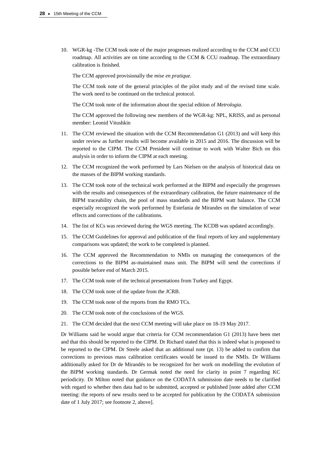10. WGR-kg -The CCM took note of the major progresses realized according to the CCM and CCU roadmap. All activities are on time according to the CCM  $&$  CCU roadmap. The extraordinary calibration is finished.

The CCM approved provisionally the *mise en pratique.*

The CCM took note of the general principles of the pilot study and of the revised time scale. The work need to be continued on the technical protocol.

The CCM took note of the information about the special edition of *Metrologia*.

The CCM approved the following new members of the WGR-kg: NPL, KRISS, and as personal member: Leonid Vitushkin

- 11. The CCM reviewed the situation with the CCM Recommendation G1 (2013) and will keep this under review as further results will become available in 2015 and 2016. The discussion will be reported to the CIPM. The CCM President will continue to work with Walter Bich on this analysis in order to inform the CIPM at each meeting.
- 12. The CCM recognized the work performed by Lars Nielsen on the analysis of historical data on the masses of the BIPM working standards.
- 13. The CCM took note of the technical work performed at the BIPM and especially the progresses with the results and consequences of the extraordinary calibration, the future maintenance of the BIPM traceability chain, the pool of mass standards and the BIPM watt balance. The CCM especially recognized the work performed by Estefania de Mirandes on the simulation of wear effects and corrections of the calibrations.
- 14. The list of KCs was reviewed during the WGS meeting. The KCDB was updated accordingly.
- 15. The CCM Guidelines for approval and publication of the final reports of key and supplementary comparisons was updated; the work to be completed is planned.
- 16. The CCM approved the Recommendation to NMIs on managing the consequences of the corrections to the BIPM as-maintained mass unit. The BIPM will send the corrections if possible before end of March 2015.
- 17. The CCM took note of the technical presentations from Turkey and Egypt.
- 18. The CCM took note of the update from the JCRB.
- 19. The CCM took note of the reports from the RMO TCs.
- 20. The CCM took note of the conclusions of the WGS.
- 21. The CCM decided that the next CCM meeting will take place on 18-19 May 2017.

Dr Williams said he would argue that criteria for CCM recommendation G1 (2013) have been met and that this should be reported to the CIPM. Dr Richard stated that this is indeed what is proposed to be reported to the CIPM. Dr Steele asked that an additional note (pt. 13) be added to confirm that corrections to previous mass calibration certificates would be issued to the NMIs. Dr Williams additionally asked for Dr de Mirandés to be recognized for her work on modelling the evolution of the BIPM working standards. Dr Germak noted the need for clarity in point 7 regarding KC periodicity. Dr Milton noted that guidance on the CODATA submission date needs to be clarified with regard to whether then data had to be submitted, accepted or published [note added after CCM meeting: the reports of new results need to be accepted for publication by the CODATA submission date of 1 July 2017; see footnote 2, above].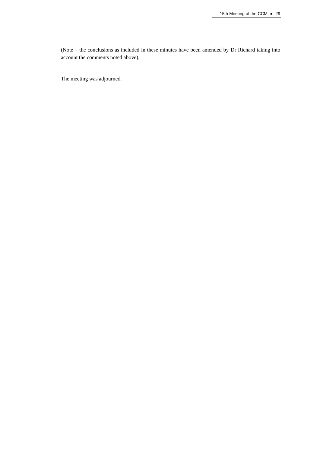(Note – the conclusions as included in these minutes have been amended by Dr Richard taking into account the comments noted above).

The meeting was adjourned.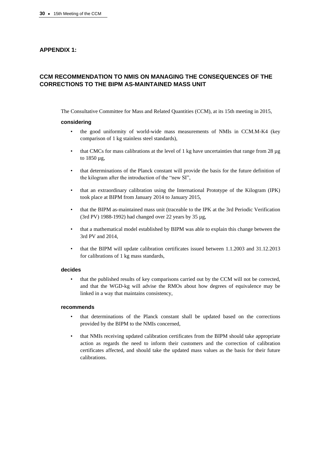# **APPENDIX 1:**

# **CCM RECOMMENDATION TO NMIS ON MANAGING THE CONSEQUENCES OF THE CORRECTIONS TO THE BIPM AS-MAINTAINED MASS UNIT**

The Consultative Committee for Mass and Related Quantities (CCM), at its 15th meeting in 2015,

#### **considering**

- the good uniformity of world-wide mass measurements of NMIs in CCM.M-K4 (key comparison of 1 kg stainless steel standards),
- that CMCs for mass calibrations at the level of 1 kg have uncertainties that range from 28 µg to 1850 µg,
- that determinations of the Planck constant will provide the basis for the future definition of the kilogram after the introduction of the "new SI",
- that an extraordinary calibration using the International Prototype of the Kilogram (IPK) took place at BIPM from January 2014 to January 2015,
- that the BIPM as-maintained mass unit (traceable to the IPK at the 3rd Periodic Verification (3rd PV) 1988-1992) had changed over 22 years by 35 µg,
- that a mathematical model established by BIPM was able to explain this change between the 3rd PV and 2014,
- that the BIPM will update calibration certificates issued between 1.1.2003 and 31.12.2013 for calibrations of 1 kg mass standards,

#### **decides**

• that the published results of key comparisons carried out by the CCM will not be corrected, and that the WGD-kg will advise the RMOs about how degrees of equivalence may be linked in a way that maintains consistency,

#### **recommends**

- that determinations of the Planck constant shall be updated based on the corrections provided by the BIPM to the NMIs concerned,
- that NMIs receiving updated calibration certificates from the BIPM should take appropriate action as regards the need to inform their customers and the correction of calibration certificates affected, and should take the updated mass values as the basis for their future calibrations.